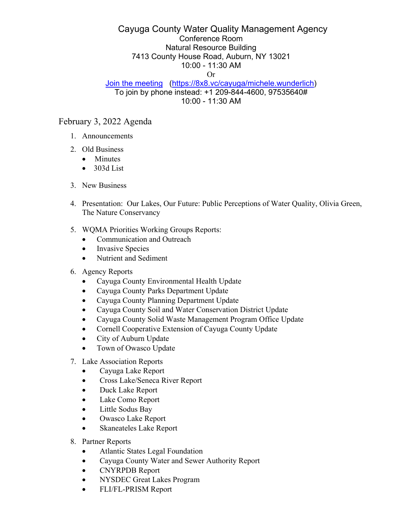## Cayuga County Water Quality Management Agency Conference Room Natural Resource Building 7413 County House Road, Auburn, NY 13021 10:00 - 11:30 AM

## Or

## [Join the meeting](https://8x8.vc/cayuga/michele.wunderlich) [\(https://8x8.vc/cayuga/michele.wunderlich\)](https://8x8.vc/cayuga/michele.wunderlich) To join by phone instead: +1 209-844-4600, 97535640# 10:00 - 11:30 AM

## February 3, 2022 Agenda

- 1. Announcements
- 2. Old Business
	- Minutes
	- $\bullet$  303d List
- 3. New Business
- 4. Presentation: Our Lakes, Our Future: Public Perceptions of Water Quality, Olivia Green, The Nature Conservancy
- 5. WQMA Priorities Working Groups Reports:
	- Communication and Outreach
	- Invasive Species
	- Nutrient and Sediment
- 6. Agency Reports
	- Cayuga County Environmental Health Update
	- Cayuga County Parks Department Update
	- Cayuga County Planning Department Update
	- Cayuga County Soil and Water Conservation District Update
	- Cayuga County Solid Waste Management Program Office Update
	- Cornell Cooperative Extension of Cayuga County Update
	- City of Auburn Update
	- Town of Owasco Update
- 7. Lake Association Reports
	- Cayuga Lake Report
	- Cross Lake/Seneca River Report
	- Duck Lake Report
	- Lake Como Report
	- Little Sodus Bay
	- Owasco Lake Report
	- Skaneateles Lake Report
- 8. Partner Reports
	- Atlantic States Legal Foundation
	- Cayuga County Water and Sewer Authority Report
	- CNYRPDB Report
	- NYSDEC Great Lakes Program
	- FLI/FL-PRISM Report